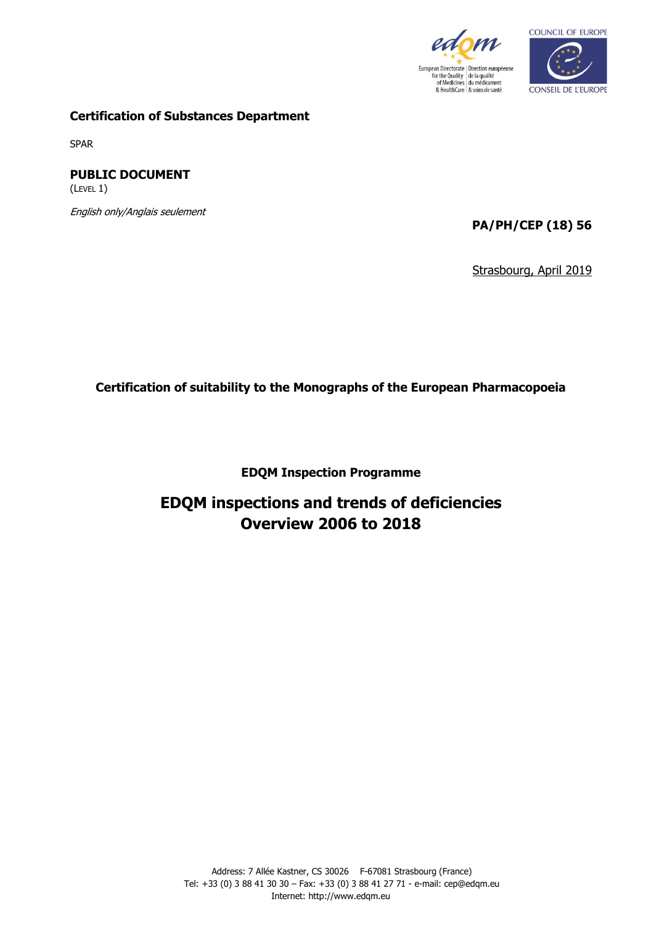



#### **Certification of Substances Department**

SPAR

**PUBLIC DOCUMENT**  (LEVEL 1)

English only/Anglais seulement

**PA/PH/CEP (18) 56**

Strasbourg, April 2019

**Certification of suitability to the Monographs of the European Pharmacopoeia**

**EDQM Inspection Programme**

# **EDQM inspections and trends of deficiencies Overview 2006 to 2018**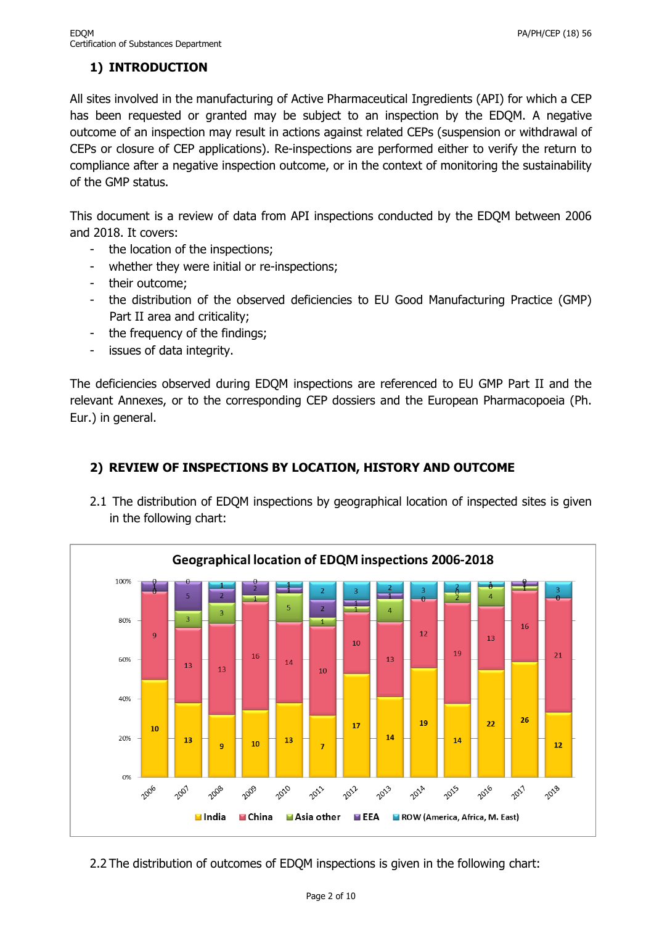# **1) INTRODUCTION**

All sites involved in the manufacturing of Active Pharmaceutical Ingredients (API) for which a CEP has been requested or granted may be subject to an inspection by the EDQM. A negative outcome of an inspection may result in actions against related CEPs (suspension or withdrawal of CEPs or closure of CEP applications). Re-inspections are performed either to verify the return to compliance after a negative inspection outcome, or in the context of monitoring the sustainability of the GMP status.

This document is a review of data from API inspections conducted by the EDQM between 2006 and 2018. It covers:

- the location of the inspections;
- whether they were initial or re-inspections;
- their outcome;
- the distribution of the observed deficiencies to EU Good Manufacturing Practice (GMP) Part II area and criticality;
- the frequency of the findings;
- issues of data integrity.

The deficiencies observed during EDQM inspections are referenced to EU GMP Part II and the relevant Annexes, or to the corresponding CEP dossiers and the European Pharmacopoeia (Ph. Eur.) in general.



# **2) REVIEW OF INSPECTIONS BY LOCATION, HISTORY AND OUTCOME**

2.1 The distribution of EDQM inspections by geographical location of inspected sites is given in the following chart:

2.2 The distribution of outcomes of EDQM inspections is given in the following chart: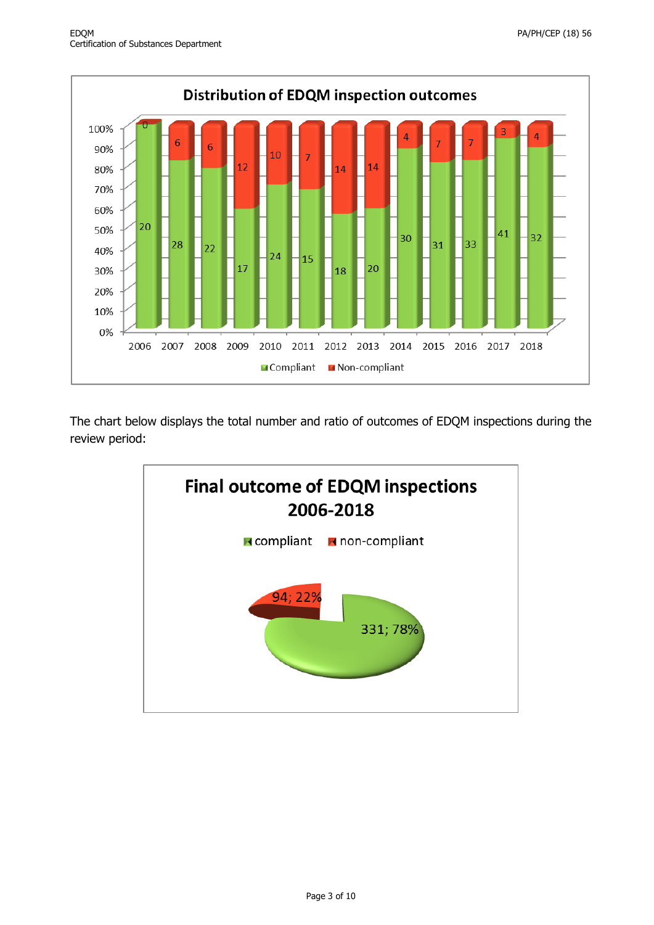

The chart below displays the total number and ratio of outcomes of EDQM inspections during the review period:

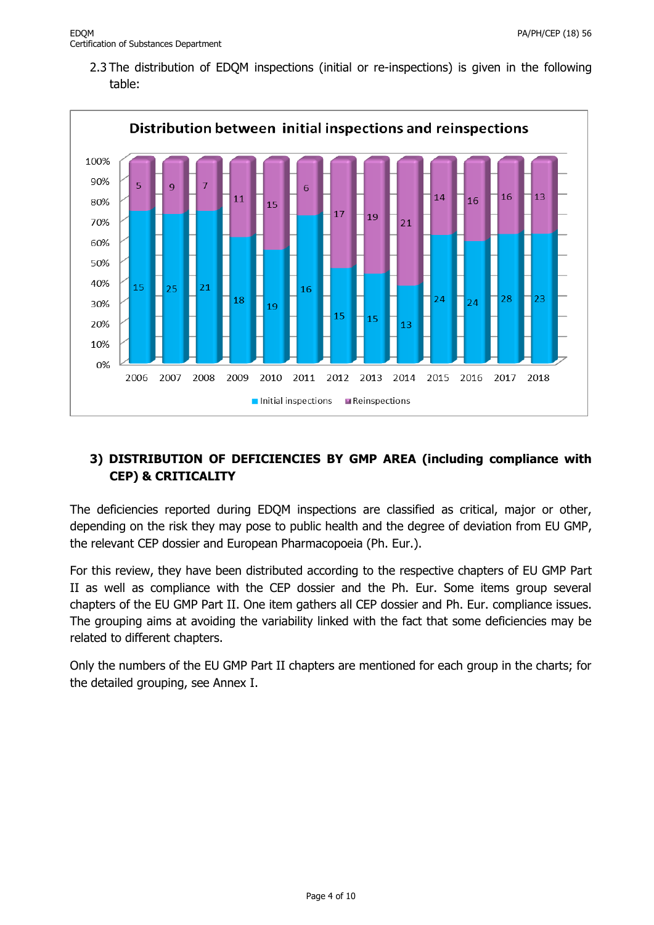2.3 The distribution of EDQM inspections (initial or re-inspections) is given in the following table:



### **3) DISTRIBUTION OF DEFICIENCIES BY GMP AREA (including compliance with CEP) & CRITICALITY**

The deficiencies reported during EDQM inspections are classified as critical, major or other, depending on the risk they may pose to public health and the degree of deviation from EU GMP, the relevant CEP dossier and European Pharmacopoeia (Ph. Eur.).

For this review, they have been distributed according to the respective chapters of EU GMP Part II as well as compliance with the CEP dossier and the Ph. Eur. Some items group several chapters of the EU GMP Part II. One item gathers all CEP dossier and Ph. Eur. compliance issues. The grouping aims at avoiding the variability linked with the fact that some deficiencies may be related to different chapters.

Only the numbers of the EU GMP Part II chapters are mentioned for each group in the charts; for the detailed grouping, see Annex I.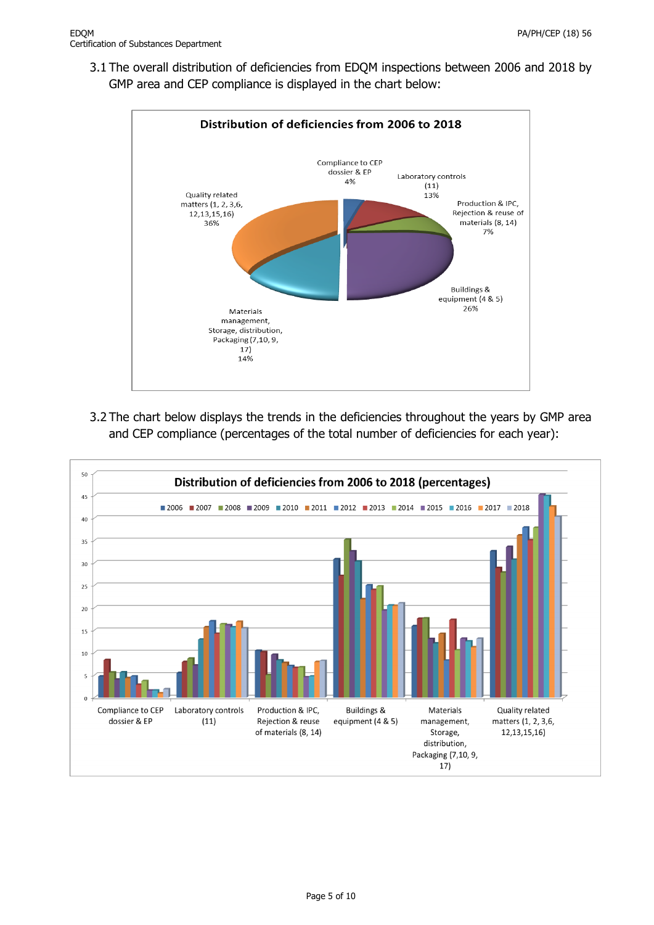3.1 The overall distribution of deficiencies from EDQM inspections between 2006 and 2018 by GMP area and CEP compliance is displayed in the chart below:



3.2 The chart below displays the trends in the deficiencies throughout the years by GMP area and CEP compliance (percentages of the total number of deficiencies for each year):

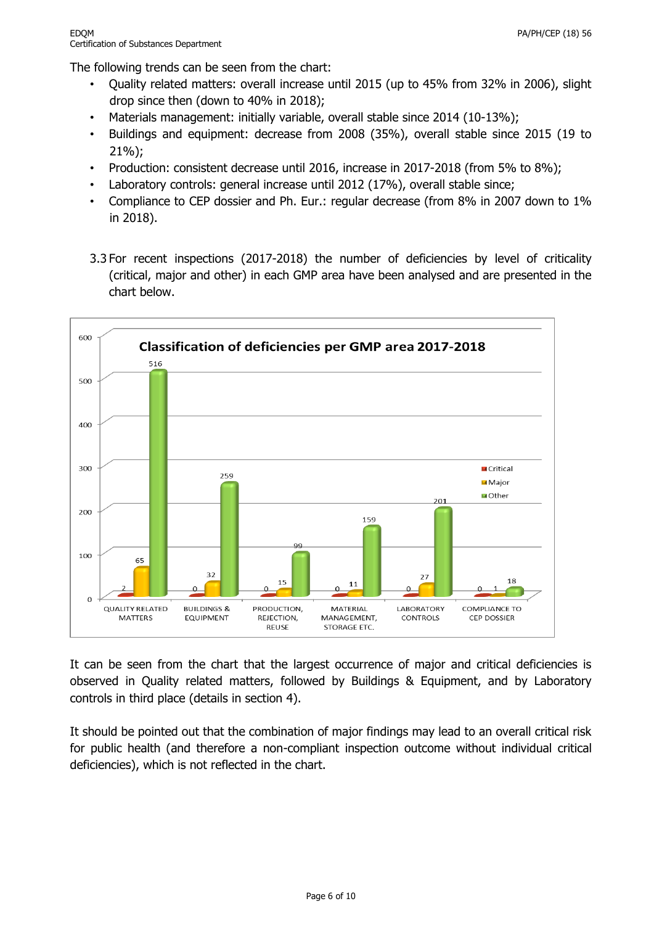The following trends can be seen from the chart:

- Quality related matters: overall increase until 2015 (up to 45% from 32% in 2006), slight drop since then (down to 40% in 2018);
- Materials management: initially variable, overall stable since 2014 (10-13%);
- Buildings and equipment: decrease from 2008 (35%), overall stable since 2015 (19 to 21%);
- Production: consistent decrease until 2016, increase in 2017-2018 (from 5% to 8%);
- Laboratory controls: general increase until 2012 (17%), overall stable since;
- Compliance to CEP dossier and Ph. Eur.: regular decrease (from 8% in 2007 down to 1% in 2018).
- 3.3 For recent inspections (2017-2018) the number of deficiencies by level of criticality (critical, major and other) in each GMP area have been analysed and are presented in the chart below.



It can be seen from the chart that the largest occurrence of major and critical deficiencies is observed in Quality related matters, followed by Buildings & Equipment, and by Laboratory controls in third place (details in section 4).

It should be pointed out that the combination of major findings may lead to an overall critical risk for public health (and therefore a non-compliant inspection outcome without individual critical deficiencies), which is not reflected in the chart.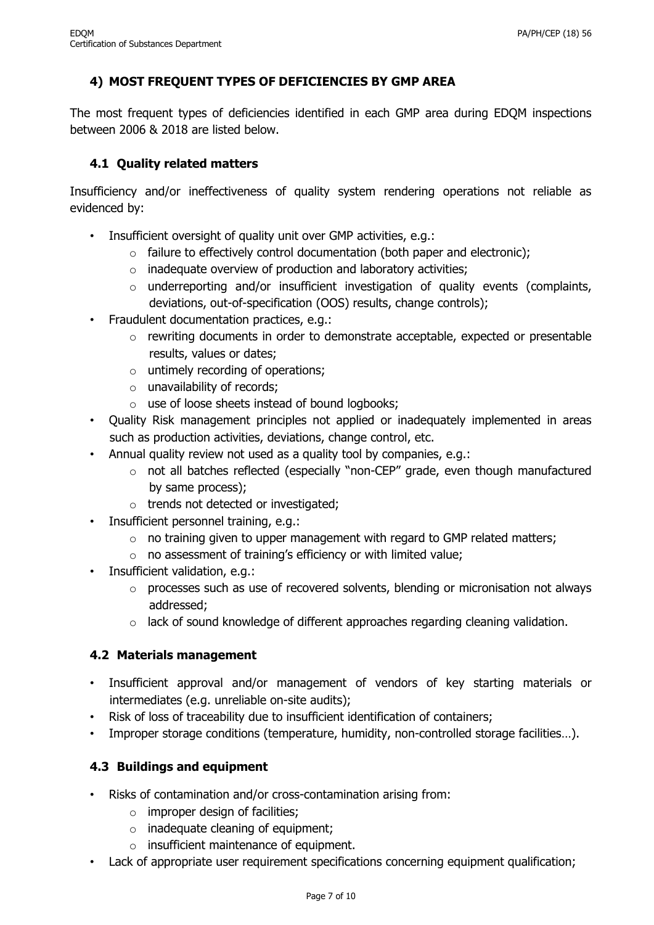# **4) MOST FREQUENT TYPES OF DEFICIENCIES BY GMP AREA**

The most frequent types of deficiencies identified in each GMP area during EDQM inspections between 2006 & 2018 are listed below.

#### **4.1 Quality related matters**

Insufficiency and/or ineffectiveness of quality system rendering operations not reliable as evidenced by:

- Insufficient oversight of quality unit over GMP activities, e.g.:
	- $\circ$  failure to effectively control documentation (both paper and electronic);
	- o inadequate overview of production and laboratory activities;
	- $\circ$  underreporting and/or insufficient investigation of quality events (complaints, deviations, out-of-specification (OOS) results, change controls);
- Fraudulent documentation practices, e.g.:
	- o rewriting documents in order to demonstrate acceptable, expected or presentable results, values or dates;
	- $\circ$  untimely recording of operations;
	- o unavailability of records;
	- o use of loose sheets instead of bound logbooks;
- Quality Risk management principles not applied or inadequately implemented in areas such as production activities, deviations, change control, etc.
- Annual quality review not used as a quality tool by companies, e.g.:
	- o not all batches reflected (especially "non-CEP" grade, even though manufactured by same process);
	- o trends not detected or investigated;
- Insufficient personnel training, e.g.:
	- $\circ$  no training given to upper management with regard to GMP related matters;
	- o no assessment of training's efficiency or with limited value;
- Insufficient validation, e.g.:
	- $\circ$  processes such as use of recovered solvents, blending or micronisation not always addressed;
	- $\circ$  lack of sound knowledge of different approaches regarding cleaning validation.

#### **4.2 Materials management**

- Insufficient approval and/or management of vendors of key starting materials or intermediates (e.g. unreliable on-site audits);
- Risk of loss of traceability due to insufficient identification of containers;
- Improper storage conditions (temperature, humidity, non-controlled storage facilities…).

#### **4.3 Buildings and equipment**

- Risks of contamination and/or cross-contamination arising from:
	- $\circ$  improper design of facilities;
	- $\circ$  inadequate cleaning of equipment;
	- o insufficient maintenance of equipment.
- Lack of appropriate user requirement specifications concerning equipment qualification;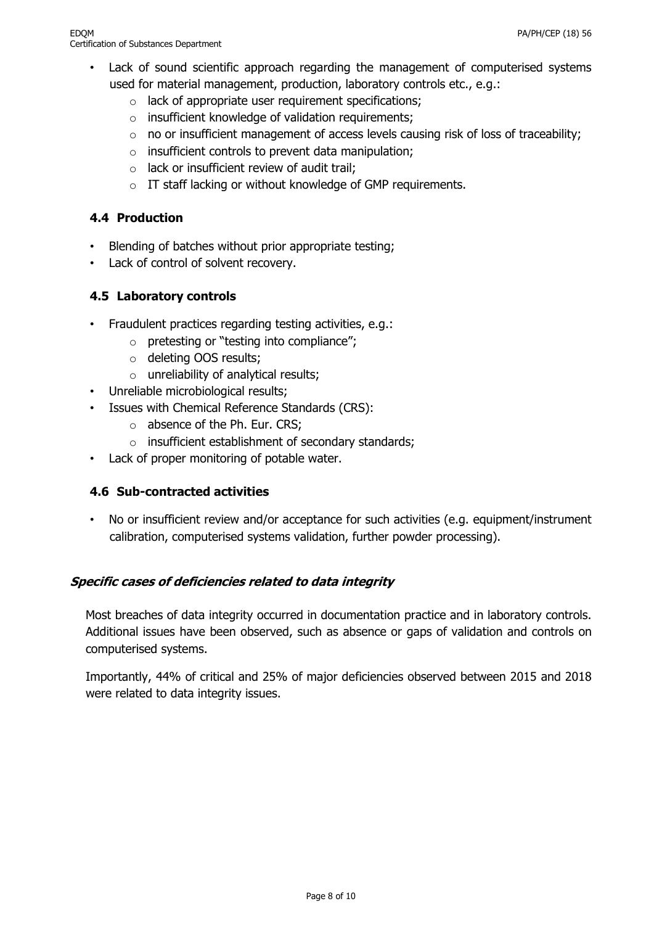- Lack of sound scientific approach regarding the management of computerised systems used for material management, production, laboratory controls etc., e.g.:
	- o lack of appropriate user requirement specifications;
	- o insufficient knowledge of validation requirements;
	- $\circ$  no or insufficient management of access levels causing risk of loss of traceability;
	- $\circ$  insufficient controls to prevent data manipulation;
	- $\circ$  lack or insufficient review of audit trail;
	- o IT staff lacking or without knowledge of GMP requirements.

#### **4.4 Production**

- Blending of batches without prior appropriate testing;
- Lack of control of solvent recovery.

#### **4.5 Laboratory controls**

- Fraudulent practices regarding testing activities, e.g.:
	- o pretesting or "testing into compliance";
	- o deleting OOS results;
	- o unreliability of analytical results;
- Unreliable microbiological results;
- Issues with Chemical Reference Standards (CRS):
	- o absence of the Ph. Eur. CRS;
	- o insufficient establishment of secondary standards;
- Lack of proper monitoring of potable water.

#### **4.6 Sub-contracted activities**

No or insufficient review and/or acceptance for such activities (e.g. equipment/instrument calibration, computerised systems validation, further powder processing).

#### **Specific cases of deficiencies related to data integrity**

Most breaches of data integrity occurred in documentation practice and in laboratory controls. Additional issues have been observed, such as absence or gaps of validation and controls on computerised systems.

Importantly, 44% of critical and 25% of major deficiencies observed between 2015 and 2018 were related to data integrity issues.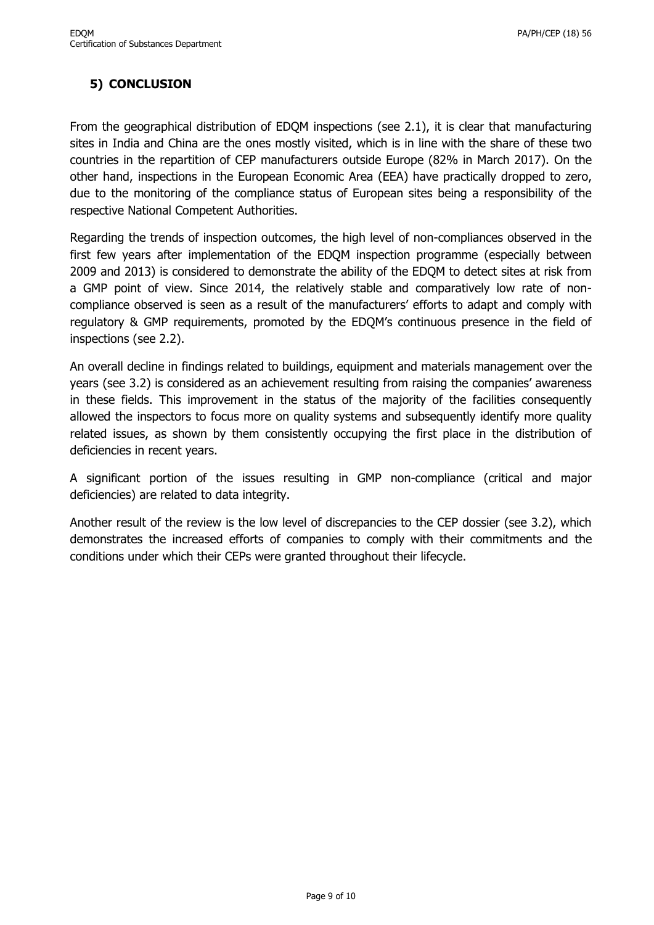## **5) CONCLUSION**

From the geographical distribution of EDQM inspections (see 2.1), it is clear that manufacturing sites in India and China are the ones mostly visited, which is in line with the share of these two countries in the repartition of CEP manufacturers outside Europe (82% in March 2017). On the other hand, inspections in the European Economic Area (EEA) have practically dropped to zero, due to the monitoring of the compliance status of European sites being a responsibility of the respective National Competent Authorities.

Regarding the trends of inspection outcomes, the high level of non-compliances observed in the first few years after implementation of the EDQM inspection programme (especially between 2009 and 2013) is considered to demonstrate the ability of the EDQM to detect sites at risk from a GMP point of view. Since 2014, the relatively stable and comparatively low rate of noncompliance observed is seen as a result of the manufacturers' efforts to adapt and comply with regulatory & GMP requirements, promoted by the EDQM's continuous presence in the field of inspections (see 2.2).

An overall decline in findings related to buildings, equipment and materials management over the years (see 3.2) is considered as an achievement resulting from raising the companies' awareness in these fields. This improvement in the status of the majority of the facilities consequently allowed the inspectors to focus more on quality systems and subsequently identify more quality related issues, as shown by them consistently occupying the first place in the distribution of deficiencies in recent years.

A significant portion of the issues resulting in GMP non-compliance (critical and major deficiencies) are related to data integrity.

Another result of the review is the low level of discrepancies to the CEP dossier (see 3.2), which demonstrates the increased efforts of companies to comply with their commitments and the conditions under which their CEPs were granted throughout their lifecycle.